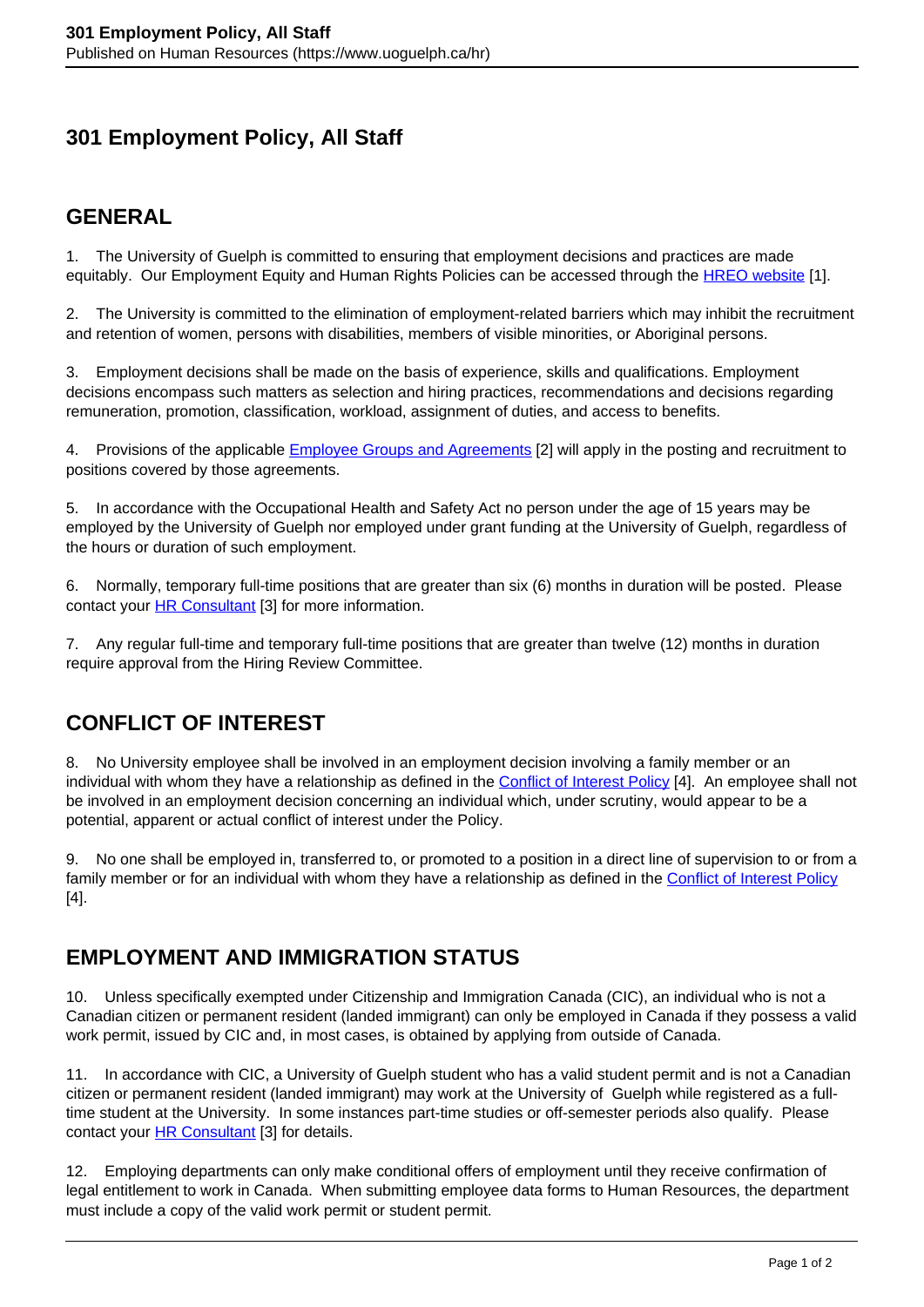# **301 Employment Policy, All Staff**

#### **GENERAL**

1. The University of Guelph is committed to ensuring that employment decisions and practices are made equitably. Our Employment Equity and Human Rights Policies can be accessed through the [HREO website](https://www.uoguelph.ca/hreo/) [1].

2. The University is committed to the elimination of employment-related barriers which may inhibit the recruitment and retention of women, persons with disabilities, members of visible minorities, or Aboriginal persons.

3. Employment decisions shall be made on the basis of experience, skills and qualifications. Employment decisions encompass such matters as selection and hiring practices, recommendations and decisions regarding remuneration, promotion, classification, workload, assignment of duties, and access to benefits.

4. Provisions of the applicable **Employee Groups and Agreements** [2] will apply in the posting and recruitment to positions covered by those agreements.

5. In accordance with the Occupational Health and Safety Act no person under the age of 15 years may be employed by the University of Guelph nor employed under grant funding at the University of Guelph, regardless of the hours or duration of such employment.

6. Normally, temporary full-time positions that are greater than six (6) months in duration will be posted. Please contact your HR Consultant [3] for more information.

7. Any regular full-time and temporary full-time positions that are greater than twelve (12) months in duration require approval from the Hiring Review Committee.

## **CONFLICT OF INTEREST**

8. No University employee shall be involved in an employment decision involving a family member or an individual with whom they have a relationship as defined in the Conflict of Interest Policy [4]. An employee shall not be involved in an employment decision concerning an individual which, under scrutiny, would appear to be a potential, apparent or actual conflict of interest under the Policy.

9. No one shall be employed in, transferred to, or promoted to a position in a direct line of supervision to or from a family member or for an individual with whom they have a relationship as defined in the Conflict of Interest Policy [4].

## **EMPLOYMENT AND IMMIGRATION STATUS**

10. Unless specifically exempted under Citizenship and Immigration Canada (CIC), an individual who is not a Canadian citizen or permanent resident (landed immigrant) can only be employed in Canada if they possess a valid work permit, issued by CIC and, in most cases, is obtained by applying from outside of Canada.

11. In accordance with CIC, a University of Guelph student who has a valid student permit and is not a Canadian citizen or permanent resident (landed immigrant) may work at the University of Guelph while registered as a fulltime student at the University. In some instances part-time studies or off-semester periods also qualify. Please contact your **HR Consultant** [3] for details.

12. Employing departments can only make conditional offers of employment until they receive confirmation of legal entitlement to work in Canada. When submitting employee data forms to Human Resources, the department must include a copy of the valid work permit or student permit.